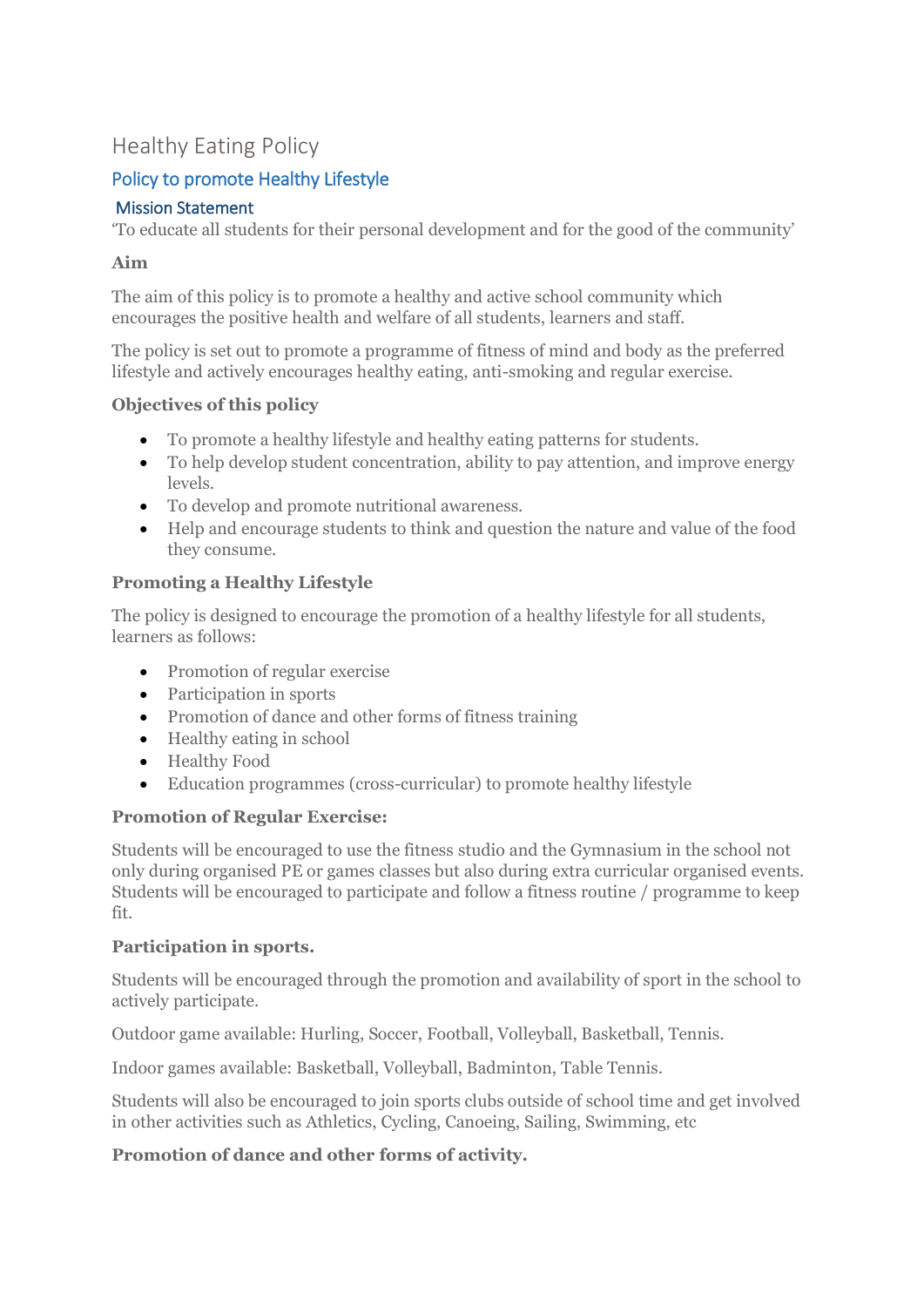# Healthy Eating Policy

## Policy to promote Healthy Lifestyle

### Mission Statement

'To educate all students for their personal development and for the good of the community'

### **Aim**

The aim of this policy is to promote a healthy and active school community which encourages the positive health and welfare of all students, learners and staff.

The policy is set out to promote a programme of fitness of mind and body as the preferred lifestyle and actively encourages healthy eating, anti-smoking and regular exercise.

### **Objectives of this policy**

- To promote a healthy lifestyle and healthy eating patterns for students.
- To help develop student concentration, ability to pay attention, and improve energy levels.
- To develop and promote nutritional awareness.
- Help and encourage students to think and question the nature and value of the food they consume.

### **Promoting a Healthy Lifestyle**

The policy is designed to encourage the promotion of a healthy lifestyle for all students, learners as follows:

- Promotion of regular exercise
- Participation in sports
- Promotion of dance and other forms of fitness training
- $\bullet$  Healthy eating in school
- Healthy Food
- Education programmes (cross-curricular) to promote healthy lifestyle

### **Promotion of Regular Exercise:**

Students will be encouraged to use the fitness studio and the Gymnasium in the school not only during organised PE or games classes but also during extra curricular organised events. Students will be encouraged to participate and follow a fitness routine / programme to keep fit.

### **Participation in sports.**

Students will be encouraged through the promotion and availability of sport in the school to actively participate.

Outdoor game available: Hurling, Soccer, Football, Volleyball, Basketball, Tennis.

Indoor games available: Basketball, Volleyball, Badminton, Table Tennis.

Students will also be encouraged to join sports clubs outside of school time and get involved in other activities such as Athletics, Cycling, Canoeing, Sailing, Swimming, etc

### **Promotion of dance and other forms of activity.**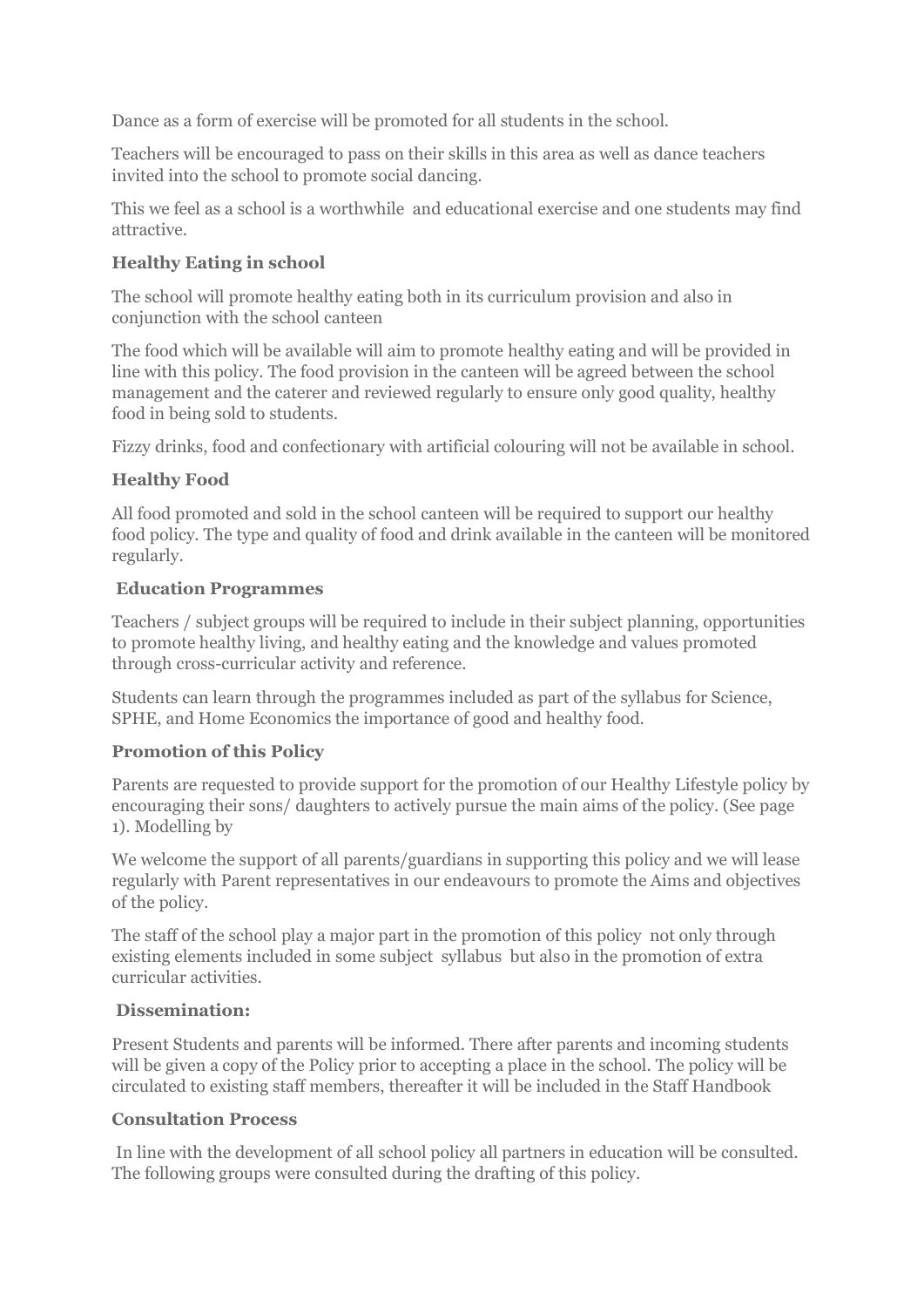Dance as a form of exercise will be promoted for all students in the school.

Teachers will be encouraged to pass on their skills in this area as well as dance teachers invited into the school to promote social dancing.

This we feel as a school is a worthwhile and educational exercise and one students may find attractive.

### **Healthy Eating in school**

The school will promote healthy eating both in its curriculum provision and also in conjunction with the school canteen

The food which will be available will aim to promote healthy eating and will be provided in line with this policy. The food provision in the canteen will be agreed between the school management and the caterer and reviewed regularly to ensure only good quality, healthy food in being sold to students.

Fizzy drinks, food and confectionary with artificial colouring will not be available in school.

### **Healthy Food**

All food promoted and sold in the school canteen will be required to support our healthy food policy. The type and quality of food and drink available in the canteen will be monitored regularly.

### **Education Programmes**

Teachers / subject groups will be required to include in their subject planning, opportunities to promote healthy living, and healthy eating and the knowledge and values promoted through cross-curricular activity and reference.

Students can learn through the programmes included as part of the syllabus for Science, SPHE, and Home Economics the importance of good and healthy food.

### **Promotion of this Policy**

Parents are requested to provide support for the promotion of our Healthy Lifestyle policy by encouraging their sons/ daughters to actively pursue the main aims of the policy. (See page 1). Modelling by

We welcome the support of all parents/guardians in supporting this policy and we will lease regularly with Parent representatives in our endeavours to promote the Aims and objectives of the policy.

The staff of the school play a major part in the promotion of this policy not only through existing elements included in some subject syllabus but also in the promotion of extra curricular activities.

### **Dissemination:**

Present Students and parents will be informed. There after parents and incoming students will be given a copy of the Policy prior to accepting a place in the school. The policy will be circulated to existing staff members, thereafter it will be included in the Staff Handbook

#### **Consultation Process**

In line with the development of all school policy all partners in education will be consulted. The following groups were consulted during the drafting of this policy.